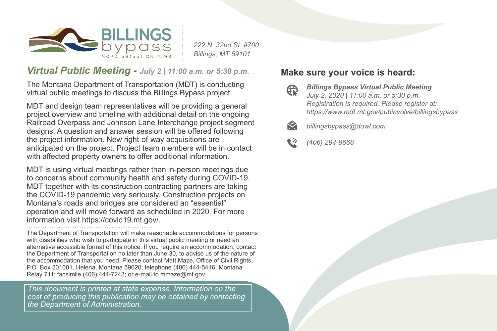

*222 N. 32nd St. #700 Billings, MT 59101*

## *Virtual Public Meeting - July 2 | 11:00 a.m. or 5:30 p.m.*

The Montana Department of Transportation (MDT) is conducting virtual public meetings to discuss the Billings Bypass project.

MDT and design team representatives will be providing a general project overview and timeline with additional detail on the ongoing Railroad Overpass and Johnson Lane Interchange project segment designs. A question and answer session will be offered following the project information. New right-of-way acquisitions are anticipated on the project. Project team members will be in contact with affected property owners to offer additional information.

MDT is using virtual meetings rather than in-person meetings due to concerns about community health and safety during COVID-19. MDT together with its construction contracting partners are taking the COVID-19 pandemic very seriously. Construction projects on Montana's roads and bridges are considered an "essential" operation and will move forward as scheduled in 2020. For more information visit https://covid19.mt.gov/.

The Department of Transportation will make reasonable accommodations for persons with disabilities who wish to participate in this virtual public meeting or need an alternative accessible format of this notice. If you require an accommodation, contact the Department of Transportation no later than June 30, to advise us of the nature of the accommodation that you need. Please contact Matt Maze, Office of Civil Rights, P.O. Box 201001, Helena, Montana 59620; telephone (406) 444-5416; Montana Relay 711; facsimile (406) 444-7243; or e-mail to mmaze@mt.gov.

*This document is printed at state expense. Information on the cost of producing this publication may be obtained by contacting the Department of Administration.*

## **Make sure your voice is heard:**

⊕

*Billings Bypass Virtual Public Meeting July 2, 2020 | 11:00 a.m. or 5:30 p.m. Registration is required. Please register at: https://www.mdt.mt.gov/pubinvolve/billingsbypass*



*billingsbypass@dowl.com*

*(406) 294-9668*